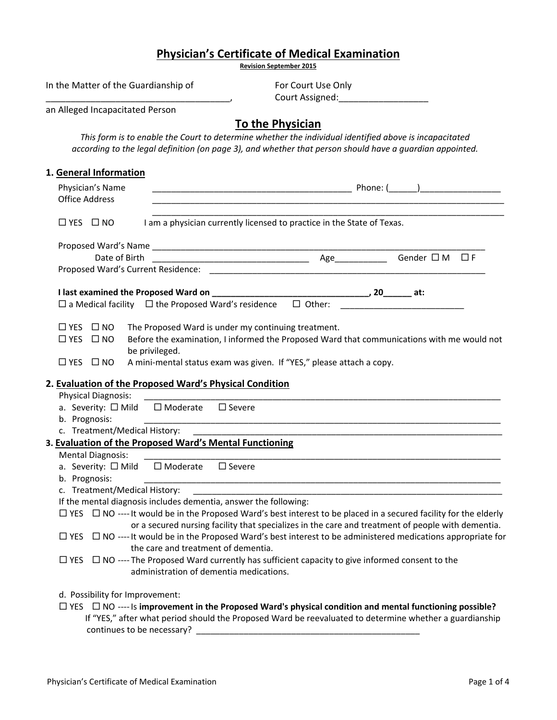| <b>Physician's Certificate of Medical Examination</b><br><b>Revision September 2015</b>                                                                                                                               |                                                                                                                                                                                                                    |
|-----------------------------------------------------------------------------------------------------------------------------------------------------------------------------------------------------------------------|--------------------------------------------------------------------------------------------------------------------------------------------------------------------------------------------------------------------|
|                                                                                                                                                                                                                       |                                                                                                                                                                                                                    |
| In the Matter of the Guardianship of                                                                                                                                                                                  | For Court Use Only<br>Court Assigned: __________________                                                                                                                                                           |
| an Alleged Incapacitated Person                                                                                                                                                                                       |                                                                                                                                                                                                                    |
|                                                                                                                                                                                                                       | To the Physician                                                                                                                                                                                                   |
|                                                                                                                                                                                                                       | This form is to enable the Court to determine whether the individual identified above is incapacitated<br>according to the legal definition (on page 3), and whether that person should have a guardian appointed. |
| 1. General Information                                                                                                                                                                                                |                                                                                                                                                                                                                    |
| Physician's Name                                                                                                                                                                                                      |                                                                                                                                                                                                                    |
| <b>Office Address</b>                                                                                                                                                                                                 |                                                                                                                                                                                                                    |
| $\Box$ YES $\Box$ NO                                                                                                                                                                                                  | I am a physician currently licensed to practice in the State of Texas.                                                                                                                                             |
|                                                                                                                                                                                                                       |                                                                                                                                                                                                                    |
|                                                                                                                                                                                                                       |                                                                                                                                                                                                                    |
|                                                                                                                                                                                                                       |                                                                                                                                                                                                                    |
|                                                                                                                                                                                                                       |                                                                                                                                                                                                                    |
|                                                                                                                                                                                                                       |                                                                                                                                                                                                                    |
| $\Box$ YES $\Box$ NO<br>The Proposed Ward is under my continuing treatment.<br>$\Box$ YES $\Box$ NO<br>be privileged.<br>A mini-mental status exam was given. If "YES," please attach a copy.<br>$\Box$ YES $\Box$ NO | Before the examination, I informed the Proposed Ward that communications with me would not                                                                                                                         |
|                                                                                                                                                                                                                       |                                                                                                                                                                                                                    |
| 2. Evaluation of the Proposed Ward's Physical Condition                                                                                                                                                               |                                                                                                                                                                                                                    |
| <b>Physical Diagnosis:</b>                                                                                                                                                                                            |                                                                                                                                                                                                                    |
| a. Severity: □ Mild □ Moderate □ Severe                                                                                                                                                                               |                                                                                                                                                                                                                    |
| b. Prognosis:<br>c. Treatment/Medical History:                                                                                                                                                                        | <u> 1989 - Johann Stoff, deutscher Stoff, der Stoff, der Stoff, der Stoff, der Stoff, der Stoff, der Stoff, der S</u>                                                                                              |
| 3. Evaluation of the Proposed Ward's Mental Functioning                                                                                                                                                               | <u> 1989 - Johann John Stoff, deutscher Stoffen und der Stoffen und der Stoffen und der Stoffen und der Stoffen u</u>                                                                                              |
| <b>Mental Diagnosis:</b>                                                                                                                                                                                              |                                                                                                                                                                                                                    |
| $\Box$ Moderate<br>a. Severity: □ Mild<br>$\square$ Severe                                                                                                                                                            |                                                                                                                                                                                                                    |
| b. Prognosis:                                                                                                                                                                                                         |                                                                                                                                                                                                                    |
| c. Treatment/Medical History:                                                                                                                                                                                         |                                                                                                                                                                                                                    |
| If the mental diagnosis includes dementia, answer the following:                                                                                                                                                      |                                                                                                                                                                                                                    |
|                                                                                                                                                                                                                       | $\Box$ YES $\Box$ NO ---- It would be in the Proposed Ward's best interest to be placed in a secured facility for the elderly                                                                                      |
|                                                                                                                                                                                                                       | or a secured nursing facility that specializes in the care and treatment of people with dementia.                                                                                                                  |
|                                                                                                                                                                                                                       | $\Box$ YES $\Box$ NO ---- It would be in the Proposed Ward's best interest to be administered medications appropriate for                                                                                          |
| the care and treatment of dementia.                                                                                                                                                                                   |                                                                                                                                                                                                                    |
| $\Box$ YES $\Box$ NO ---- The Proposed Ward currently has sufficient capacity to give informed consent to the                                                                                                         |                                                                                                                                                                                                                    |
| administration of dementia medications.                                                                                                                                                                               |                                                                                                                                                                                                                    |
|                                                                                                                                                                                                                       |                                                                                                                                                                                                                    |
| d. Possibility for Improvement:                                                                                                                                                                                       |                                                                                                                                                                                                                    |
|                                                                                                                                                                                                                       | $\Box$ YES $\Box$ NO ---- Is improvement in the Proposed Ward's physical condition and mental functioning possible?                                                                                                |
|                                                                                                                                                                                                                       | If "YES," after what period should the Proposed Ward be reevaluated to determine whether a guardianship                                                                                                            |
| continues to be necessary?                                                                                                                                                                                            |                                                                                                                                                                                                                    |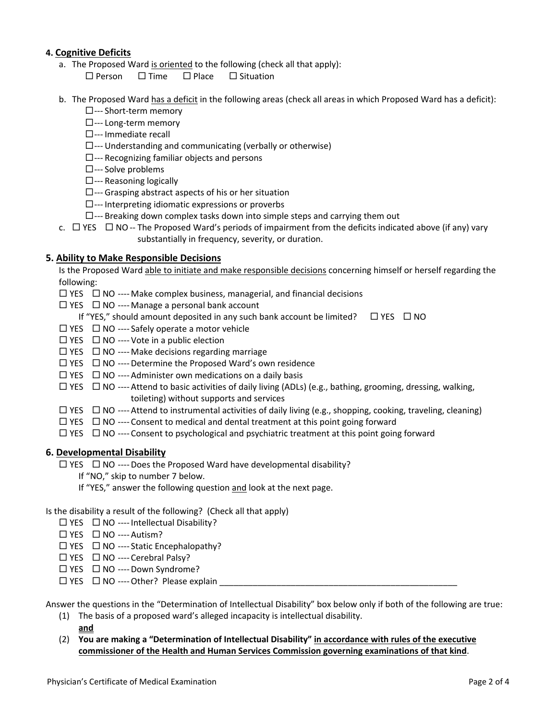## **4. Cognitive Deficits**

- a. The Proposed Ward is oriented to the following (check all that apply):
	- $\square$  Person  $\square$  Time  $\square$  Place  $\square$  Situation
- b. The Proposed Ward has a deficit in the following areas (check all areas in which Proposed Ward has a deficit):
	- □--- Short-term memory
	- □--- Long-term memory
	- $\square$ --- Immediate recall
	- $\square$ --- Understanding and communicating (verbally or otherwise)
	- $\square$ --- Recognizing familiar objects and persons
	- □--- Solve problems
	- $\square$ --- Reasoning logically
	- $\square$ --- Grasping abstract aspects of his or her situation
	- $\square$ --- Interpreting idiomatic expressions or proverbs
	- $\square$ --- Breaking down complex tasks down into simple steps and carrying them out
- c.  $\Box$  YES  $\Box$  NO -- The Proposed Ward's periods of impairment from the deficits indicated above (if any) vary substantially in frequency, severity, or duration.

#### **5. Ability to Make Responsible Decisions**

Is the Proposed Ward able to initiate and make responsible decisions concerning himself or herself regarding the following:

- $\Box$  YES  $\Box$  NO ---- Make complex business, managerial, and financial decisions
- $\Box$  YES  $\Box$  NO ---- Manage a personal bank account
	- If "YES," should amount deposited in any such bank account be limited?  $\Box$  YES  $\Box$  NO
- $\Box$  YES  $\Box$  NO ---- Safely operate a motor vehicle
- $\Box$  YES  $\Box$  NO ---- Vote in a public election
- $\Box$  YES  $\Box$  NO ---- Make decisions regarding marriage
- $\Box$  YES  $\Box$  NO ---- Determine the Proposed Ward's own residence
- $\Box$  YES  $\Box$  NO ---- Administer own medications on a daily basis
- $\Box$  YES  $\Box$  NO ---- Attend to basic activities of daily living (ADLs) (e.g., bathing, grooming, dressing, walking, toileting) without supports and services
- $\Box$  YES  $\Box$  NO ---- Attend to instrumental activities of daily living (e.g., shopping, cooking, traveling, cleaning)
- $\Box$  YES  $\Box$  NO ---- Consent to medical and dental treatment at this point going forward
- $\Box$  YES  $\Box$  NO ---- Consent to psychological and psychiatric treatment at this point going forward

#### **6. Developmental Disability**

 $\square$  YES  $\square$  NO ---- Does the Proposed Ward have developmental disability?

- If "NO," skip to number 7 below.
	- If "YES," answer the following question and look at the next page.
- Is the disability a result of the following? (Check all that apply)
	- $\Box$  YES  $\Box$  NO ---- Intellectual Disability?
	- $\Box$  YES  $\Box$  NO ---- Autism?
	- $\Box$  YES  $\Box$  NO ---- Static Encephalopathy?
	- $\Box$  YES  $\Box$  NO ---- Cerebral Palsy?
	- $\Box$  YES  $\Box$  NO ---- Down Syndrome?
	- $\Box$  YES  $\Box$  NO ---- Other? Please explain

Answer the questions in the "Determination of Intellectual Disability" box below only if both of the following are true:

- (1) The basis of a proposed ward's alleged incapacity is intellectual disability. **and**
- (2) **You are making a "Determination of Intellectual Disability" in accordance with rules of the executive commissioner of the Health and Human Services Commission governing examinations of that kind**.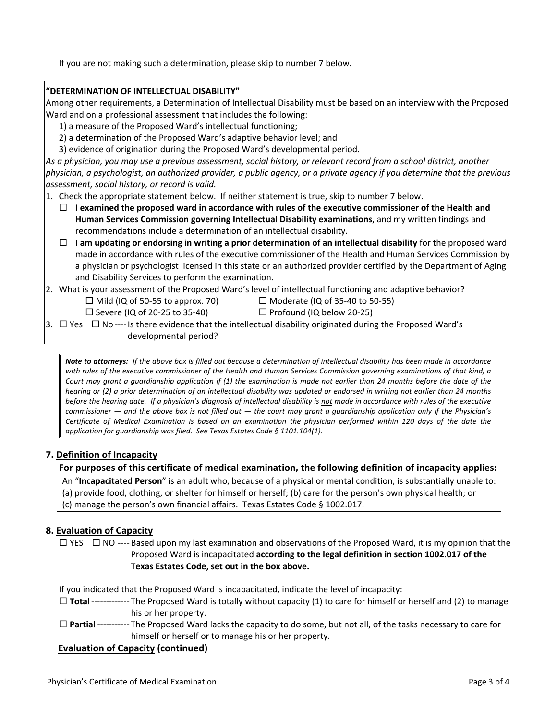If you are not making such a determination, please skip to number 7 below.

## **"DETERMINATION OF INTELLECTUAL DISABILITY"**

Among other requirements, a Determination of Intellectual Disability must be based on an interview with the Proposed Ward and on a professional assessment that includes the following:

- 1) a measure of the Proposed Ward's intellectual functioning;
- 2) a determination of the Proposed Ward's adaptive behavior level; and
- 3) evidence of origination during the Proposed Ward's developmental period.

As a physician, you may use a previous assessment, social history, or relevant record from a school district, another physician, a psychologist, an authorized provider, a public agency, or a private agency if you determine that the previous *assessment, social history, or record is valid.*

- 1. Check the appropriate statement below. If neither statement is true, skip to number 7 below.
	- **I examined the proposed ward in accordance with rules of the executive commissioner of the Health and Human Services Commission governing Intellectual Disability examinations**, and my written findings and recommendations include a determination of an intellectual disability.
	- **I am updating or endorsing in writing a prior determination of an intellectual disability** for the proposed ward made in accordance with rules of the executive commissioner of the Health and Human Services Commission by a physician or psychologist licensed in this state or an authorized provider certified by the Department of Aging and Disability Services to perform the examination.
- 2. What is your assessment of the Proposed Ward's level of intellectual functioning and adaptive behavior?
	- $\Box$  Mild (IQ of 50-55 to approx. 70)  $\Box$  Moderate (IQ of 35-40 to 50-55)
	- $\square$  Severe (IQ of 20-25 to 35-40)  $\square$  Profound (IQ below 20-25)
- -

3.  $\Box$  Yes  $\Box$  No ---- Is there evidence that the intellectual disability originated during the Proposed Ward's developmental period?

Note to attorneys: If the above box is filled out because a determination of intellectual disability has been made in accordance with rules of the executive commissioner of the Health and Human Services Commission governing examinations of that kind, a Court may grant a quardianship application if (1) the examination is made not earlier than 24 months before the date of the hearing or (2) a prior determination of an intellectual disability was updated or endorsed in writing not earlier than 24 months before the hearing date. If a physician's diagnosis of intellectual disability is not made in accordance with rules of the executive commissioner  $-$  and the above box is not filled out  $-$  the court may grant a quardianship application only if the Physician's Certificate of Medical Examination is based on an examination the physician performed within 120 days of the date the *application for guardianship was filed. See Texas Estates Code § 1101.104(1).*

## **7. Definition of Incapacity**

## **For purposes of this certificate of medical examination, the following definition of incapacity applies:**

An "**Incapacitated Person**" is an adult who, because of a physical or mental condition, is substantially unable to: (a) provide food, clothing, or shelter for himself or herself; (b) care for the person's own physical health; or (c) manage the person's own financial affairs. Texas Estates Code § 1002.017.

# **8. Evaluation of Capacity**

 $\Box$  YES  $\Box$  NO ---- Based upon my last examination and observations of the Proposed Ward, it is my opinion that the Proposed Ward is incapacitated **according to the legal definition in section 1002.017 of the Texas Estates Code, set out in the box above.**

If you indicated that the Proposed Ward is incapacitated, indicate the level of incapacity:

- **Total** ‐‐‐‐‐‐‐‐‐‐‐‐‐ The Proposed Ward is totally without capacity (1) to care for himself or herself and (2) to manage his or her property.
- **Partial** ‐‐‐‐‐‐‐‐‐‐‐ The Proposed Ward lacks the capacity to do some, but not all, of the tasks necessary to care for himself or herself or to manage his or her property.

# **Evaluation of Capacity (continued)**